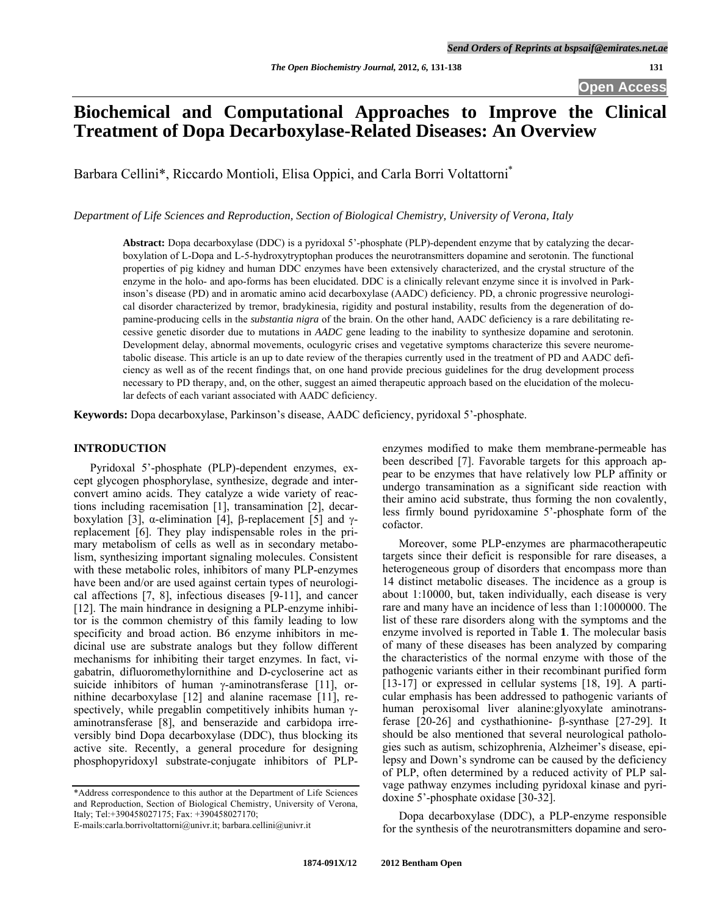# **Biochemical and Computational Approaches to Improve the Clinical Treatment of Dopa Decarboxylase-Related Diseases: An Overview**

Barbara Cellini\*, Riccardo Montioli, Elisa Oppici, and Carla Borri Voltattorni\*

*Department of Life Sciences and Reproduction, Section of Biological Chemistry, University of Verona, Italy* 

**Abstract:** Dopa decarboxylase (DDC) is a pyridoxal 5'-phosphate (PLP)-dependent enzyme that by catalyzing the decarboxylation of L-Dopa and L-5-hydroxytryptophan produces the neurotransmitters dopamine and serotonin. The functional properties of pig kidney and human DDC enzymes have been extensively characterized, and the crystal structure of the enzyme in the holo- and apo-forms has been elucidated. DDC is a clinically relevant enzyme since it is involved in Parkinson's disease (PD) and in aromatic amino acid decarboxylase (AADC) deficiency. PD, a chronic progressive neurological disorder characterized by tremor, bradykinesia, rigidity and postural instability, results from the degeneration of dopamine-producing cells in the *substantia nigra* of the brain. On the other hand, AADC deficiency is a rare debilitating recessive genetic disorder due to mutations in *AADC* gene leading to the inability to synthesize dopamine and serotonin. Development delay, abnormal movements, oculogyric crises and vegetative symptoms characterize this severe neurometabolic disease. This article is an up to date review of the therapies currently used in the treatment of PD and AADC deficiency as well as of the recent findings that, on one hand provide precious guidelines for the drug development process necessary to PD therapy, and, on the other, suggest an aimed therapeutic approach based on the elucidation of the molecular defects of each variant associated with AADC deficiency.

**Keywords:** Dopa decarboxylase, Parkinson's disease, AADC deficiency, pyridoxal 5'-phosphate.

#### **INTRODUCTION**

 Pyridoxal 5'-phosphate (PLP)-dependent enzymes, except glycogen phosphorylase, synthesize, degrade and interconvert amino acids. They catalyze a wide variety of reactions including racemisation [[1\]](#page-7-0), transamination [[2\]](#page-5-0), decar-boxylation [\[3](#page-5-1)], α-elimination [[4\]](#page-5-2), β-replacement [\[5](#page-5-3)] and  $γ$ replacement [[6\]](#page-5-4). They play indispensable roles in the primary metabolism of cells as well as in secondary metabolism, synthesizing important signaling molecules. Consistent with these metabolic roles, inhibitors of many PLP-enzymes have been and/or are used against certain types of neurological affections [\[7](#page-5-5), [8\]](#page-5-6), infectious diseases [[9-11](#page-5-7)], and cancer [\[12](#page-5-8)]. The main hindrance in designing a PLP-enzyme inhibitor is the common chemistry of this family leading to low specificity and broad action. B6 enzyme inhibitors in medicinal use are substrate analogs but they follow different mechanisms for inhibiting their target enzymes. In fact, vigabatrin, difluoromethylornithine and D-cycloserine act as suicide inhibitors of human  $\gamma$ -aminotransferase [[11\]](#page-5-9), ornithine decarboxylase [[12\]](#page-5-8) and alanine racemase [[11\]](#page-5-9), respectively, while pregablin competitively inhibits human  $\gamma$ aminotransferase [\[8](#page-5-6)], and benserazide and carbidopa irreversibly bind Dopa decarboxylase (DDC), thus blocking its active site. Recently, a general procedure for designing phosphopyridoxyl substrate-conjugate inhibitors of PLP-

\*Address correspondence to this author at the Department of Life Sciences and Reproduction, Section of Biological Chemistry, University of Verona, Italy; Tel:+390458027175; Fax: +390458027170;

enzymes modified to make them membrane-permeable has been described [\[7](#page-5-5)]. Favorable targets for this approach appear to be enzymes that have relatively low PLP affinity or undergo transamination as a significant side reaction with their amino acid substrate, thus forming the non covalently, less firmly bound pyridoxamine 5'-phosphate form of the cofactor.

 Moreover, some PLP-enzymes are pharmacotherapeutic targets since their deficit is responsible for rare diseases, a heterogeneous group of disorders that encompass more than 14 distinct metabolic diseases. The incidence as a group is about 1:10000, but, taken individually, each disease is very rare and many have an incidence of less than 1:1000000. The list of these rare disorders along with the symptoms and the enzyme involved is reported in Table **1**. The molecular basis of many of these diseases has been analyzed by comparing the characteristics of the normal enzyme with those of the pathogenic variants either in their recombinant purified form [\[13-17\]](#page-5-10) or expressed in cellular systems [[18,](#page-6-0) [19](#page-6-1)]. A particular emphasis has been addressed to pathogenic variants of human peroxisomal liver alanine:glyoxylate aminotransferase  $[20-26]$  $[20-26]$  $[20-26]$  and cysthathionine-  $\beta$ -synthase  $[27-29]$  $[27-29]$  $[27-29]$ . It should be also mentioned that several neurological pathologies such as autism, schizophrenia, Alzheimer's disease, epilepsy and Down's syndrome can be caused by the deficiency of PLP, often determined by a reduced activity of PLP salvage pathway enzymes including pyridoxal kinase and pyridoxine 5'-phosphate oxidase [[30-32\]](#page-6-4).

Dopa decarboxylase (DDC), a PLP-enzyme responsible for the synthesis of the neurotransmitters dopamine and sero-

E-mails:carla.borrivoltattorni@univr.it; barbara.cellini@univr.it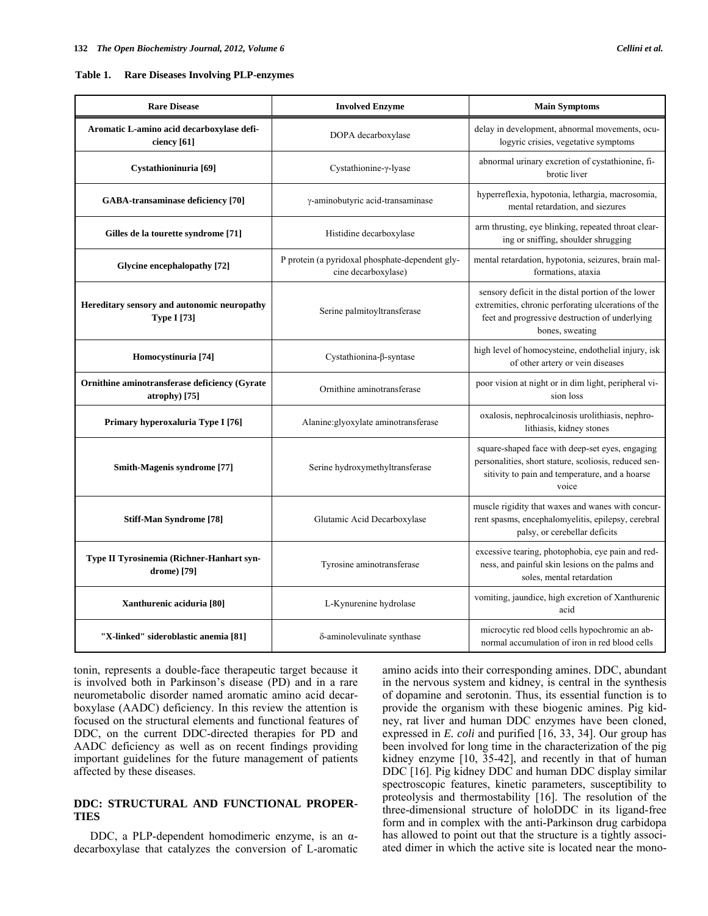| <b>Rare Disease</b>                                               | <b>Involved Enzyme</b>                                                 | <b>Main Symptoms</b>                                                                                                                                                           |
|-------------------------------------------------------------------|------------------------------------------------------------------------|--------------------------------------------------------------------------------------------------------------------------------------------------------------------------------|
| Aromatic L-amino acid decarboxylase defi-<br>ciency [61]          | DOPA decarboxylase                                                     | delay in development, abnormal movements, ocu-<br>logyric crisies, vegetative symptoms                                                                                         |
| Cystathioninuria [69]                                             | Cystathionine-γ-lyase                                                  | abnormal urinary excretion of cystathionine, fi-<br>brotic liver                                                                                                               |
| GABA-transaminase deficiency [70]                                 | γ-aminobutyric acid-transaminase                                       | hyperreflexia, hypotonia, lethargia, macrosomia,<br>mental retardation, and siezures                                                                                           |
| Gilles de la tourette syndrome [71]                               | Histidine decarboxylase                                                | arm thrusting, eye blinking, repeated throat clear-<br>ing or sniffing, shoulder shrugging                                                                                     |
| Glycine encephalopathy [72]                                       | P protein (a pyridoxal phosphate-dependent gly-<br>cine decarboxylase) | mental retardation, hypotonia, seizures, brain mal-<br>formations, ataxia                                                                                                      |
| Hereditary sensory and autonomic neuropathy<br><b>Type I</b> [73] | Serine palmitoyltransferase                                            | sensory deficit in the distal portion of the lower<br>extremities, chronic perforating ulcerations of the<br>feet and progressive destruction of underlying<br>bones, sweating |
| Homocystinuria [74]                                               | Cystathionina-β-syntase                                                | high level of homocysteine, endothelial injury, isk<br>of other artery or vein diseases                                                                                        |
| Ornithine aminotransferase deficiency (Gyrate<br>atrophy $[75]$   | Ornithine aminotransferase                                             | poor vision at night or in dim light, peripheral vi-<br>sion loss                                                                                                              |
| Primary hyperoxaluria Type I [76]                                 | Alanine: glyoxylate aminotransferase                                   | oxalosis, nephrocalcinosis urolithiasis, nephro-<br>lithiasis, kidney stones                                                                                                   |
| <b>Smith-Magenis syndrome [77]</b>                                | Serine hydroxymethyltransferase                                        | square-shaped face with deep-set eyes, engaging<br>personalities, short stature, scoliosis, reduced sen-<br>sitivity to pain and temperature, and a hoarse<br>voice            |
| Stiff-Man Syndrome [78]                                           | Glutamic Acid Decarboxylase                                            | muscle rigidity that waxes and wanes with concur-<br>rent spasms, encephalomyelitis, epilepsy, cerebral<br>palsy, or cerebellar deficits                                       |
| Type II Tyrosinemia (Richner-Hanhart syn-<br>drome) [79]          | Tyrosine aminotransferase                                              | excessive tearing, photophobia, eye pain and red-<br>ness, and painful skin lesions on the palms and<br>soles, mental retardation                                              |
| Xanthurenic aciduria [80]                                         | L-Kynurenine hydrolase                                                 | vomiting, jaundice, high excretion of Xanthurenic<br>acid                                                                                                                      |
| "X-linked" sideroblastic anemia [81]                              | δ-aminolevulinate synthase                                             | microcytic red blood cells hypochromic an ab-<br>normal accumulation of iron in red blood cells                                                                                |

tonin, represents a double-face therapeutic target because it is involved both in Parkinson's disease (PD) and in a rare neurometabolic disorder named aromatic amino acid decarboxylase (AADC) deficiency. In this review the attention is focused on the structural elements and functional features of DDC, on the current DDC-directed therapies for PD and AADC deficiency as well as on recent findings providing important guidelines for the future management of patients affected by these diseases.

# **DDC: STRUCTURAL AND FUNCTIONAL PROPER-TIES**

DDC, a PLP-dependent homodimeric enzyme, is an  $α$ decarboxylase that catalyzes the conversion of L-aromatic amino acids into their corresponding amines. DDC, abundant in the nervous system and kidney, is central in the synthesis of dopamine and serotonin. Thus, its essential function is to provide the organism with these biogenic amines. Pig kidney, rat liver and human DDC enzymes have been cloned, expressed in *E. coli* and purified [[16,](#page-6-5) [33](#page-6-6), [34\]](#page-6-7). Our group has been involved for long time in the characterization of the pig kidney enzyme [[10,](#page-5-11) [35-42\]](#page-6-8), and recently in that of human DDC [\[16\]](#page-6-5). Pig kidney DDC and human DDC display similar spectroscopic features, kinetic parameters, susceptibility to proteolysis and thermostability [[16\]](#page-6-5). The resolution of the three-dimensional structure of holoDDC in its ligand-free form and in complex with the anti-Parkinson drug carbidopa has allowed to point out that the structure is a tightly associated dimer in which the active site is located near the mono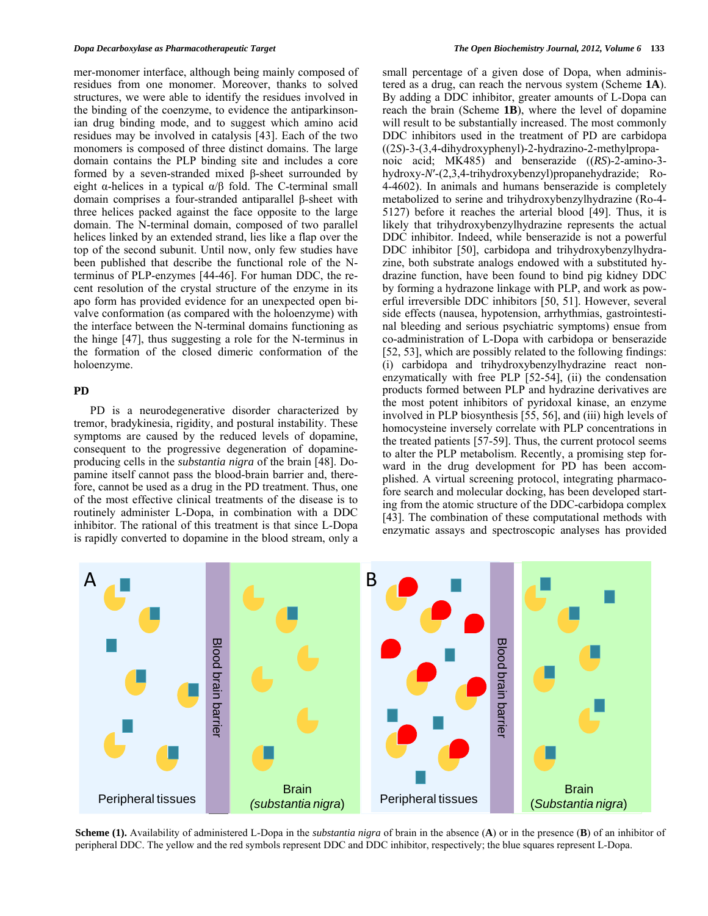mer-monomer interface, although being mainly composed of residues from one monomer. Moreover, thanks to solved structures, we were able to identify the residues involved in the binding of the coenzyme, to evidence the antiparkinsonian drug binding mode, and to suggest which amino acid residues may be involved in catalysis [\[43](#page-6-9)]. Each of the two monomers is composed of three distinct domains. The large domain contains the PLP binding site and includes a core formed by a seven-stranded mixed β-sheet surrounded by eight  $\alpha$ -helices in a typical  $\alpha/\beta$  fold. The C-terminal small domain comprises a four-stranded antiparallel β-sheet with three helices packed against the face opposite to the large domain. The N-terminal domain, composed of two parallel helices linked by an extended strand, lies like a flap over the top of the second subunit. Until now, only few studies have been published that describe the functional role of the Nterminus of PLP-enzymes [[44-46](#page-6-10)]. For human DDC, the recent resolution of the crystal structure of the enzyme in its apo form has provided evidence for an unexpected open bivalve conformation (as compared with the holoenzyme) with the interface between the N-terminal domains functioning as the hinge [[47\]](#page-6-11), thus suggesting a role for the N-terminus in the formation of the closed dimeric conformation of the holoenzyme.

#### **PD**

 PD is a neurodegenerative disorder characterized by tremor, bradykinesia, rigidity, and postural instability. These symptoms are caused by the reduced levels of dopamine, consequent to the progressive degeneration of dopamineproducing cells in the *substantia nigra* of the brain [\[48](#page-6-4)]. Dopamine itself cannot pass the blood-brain barrier and, therefore, cannot be used as a drug in the PD treatment. Thus, one of the most effective clinical treatments of the disease is to routinely administer L-Dopa, in combination with a DDC inhibitor. The rational of this treatment is that since L-Dopa is rapidly converted to dopamine in the blood stream, only a small percentage of a given dose of Dopa, when administered as a drug, can reach the nervous system (Scheme **1A**). By adding a DDC inhibitor, greater amounts of L-Dopa can reach the brain (Scheme **1B**), where the level of dopamine will result to be substantially increased. The most commonly DDC inhibitors used in the treatment of PD are carbidopa ((2*S*)-3-(3,4-dihydroxyphenyl)-2-hydrazino-2-methylpropanoic acid; MK485) and benserazide ((*RS*)-2-amino-3 hydroxy-*N*′-(2,3,4-trihydroxybenzyl)propanehydrazide; Ro-4-4602). In animals and humans benserazide is completely metabolized to serine and trihydroxybenzylhydrazine (Ro-4- 5127) before it reaches the arterial blood [[49\]](#page-6-12). Thus, it is likely that trihydroxybenzylhydrazine represents the actual DDC inhibitor. Indeed, while benserazide is not a powerful DDC inhibitor [[50\]](#page-6-13), carbidopa and trihydroxybenzylhydrazine, both substrate analogs endowed with a substituted hydrazine function, have been found to bind pig kidney DDC by forming a hydrazone linkage with PLP, and work as powerful irreversible DDC inhibitors [\[50](#page-6-13), [51\]](#page-7-14). However, several side effects (nausea, hypotension, arrhythmias, gastrointestinal bleeding and serious psychiatric symptoms) ensue from co-administration of L-Dopa with carbidopa or benserazide [\[52](#page-7-15), [53](#page-7-2)], which are possibly related to the following findings: (i) carbidopa and trihydroxybenzylhydrazine react nonenzymatically with free PLP [[52-54](#page-7-15)], (ii) the condensation products formed between PLP and hydrazine derivatives are the most potent inhibitors of pyridoxal kinase, an enzyme involved in PLP biosynthesis [[55,](#page-7-16) [56](#page-7-17)], and (iii) high levels of homocysteine inversely correlate with PLP concentrations in the treated patients [[57-59](#page-7-18)]. Thus, the current protocol seems to alter the PLP metabolism. Recently, a promising step forward in the drug development for PD has been accomplished. A virtual screening protocol, integrating pharmacofore search and molecular docking, has been developed starting from the atomic structure of the DDC-carbidopa complex [\[43](#page-6-9)]. The combination of these computational methods with enzymatic assays and spectroscopic analyses has provided



**Scheme (1).** Availability of administered L-Dopa in the *substantia nigra* of brain in the absence (**A**) or in the presence (**B**) of an inhibitor of peripheral DDC. The yellow and the red symbols represent DDC and DDC inhibitor, respectively; the blue squares represent L-Dopa.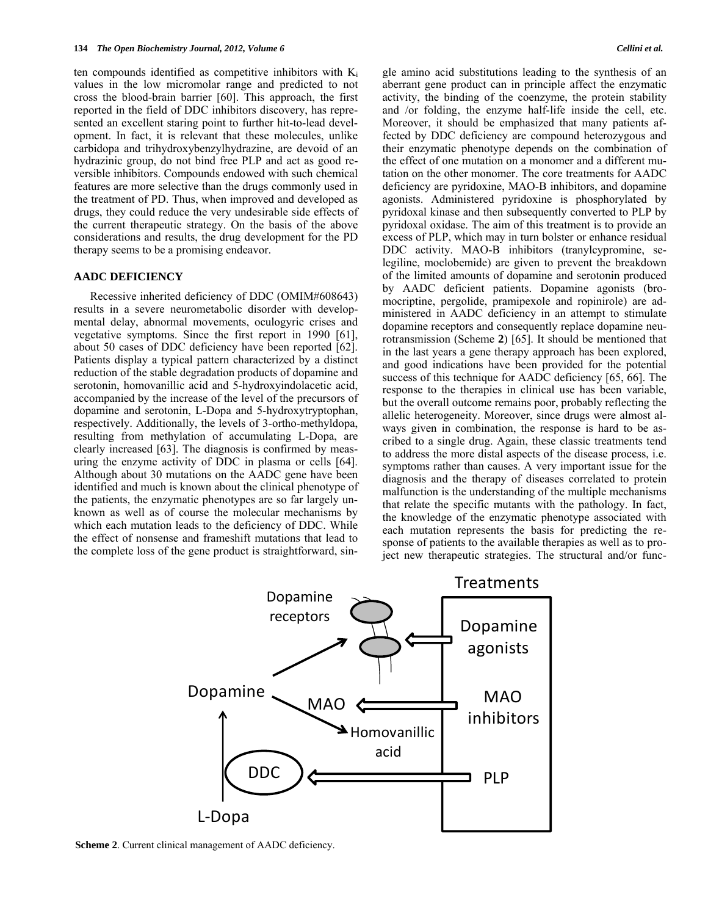ten compounds identified as competitive inhibitors with  $K_i$ values in the low micromolar range and predicted to not cross the blood-brain barrier [[60\]](#page-7-19). This approach, the first reported in the field of DDC inhibitors discovery, has represented an excellent staring point to further hit-to-lead development. In fact, it is relevant that these molecules, unlike carbidopa and trihydroxybenzylhydrazine, are devoid of an hydrazinic group, do not bind free PLP and act as good reversible inhibitors. Compounds endowed with such chemical features are more selective than the drugs commonly used in the treatment of PD. Thus, when improved and developed as drugs, they could reduce the very undesirable side effects of the current therapeutic strategy. On the basis of the above considerations and results, the drug development for the PD therapy seems to be a promising endeavor.

#### **AADC DEFICIENCY**

 Recessive inherited deficiency of DDC (OMIM#608643) results in a severe neurometabolic disorder with developmental delay, abnormal movements, oculogyric crises and vegetative symptoms. Since the first report in 1990 [[61\]](#page-7-1), about 50 cases of DDC deficiency have been reported [[62\]](#page-7-20). Patients display a typical pattern characterized by a distinct reduction of the stable degradation products of dopamine and serotonin, homovanillic acid and 5-hydroxyindolacetic acid, accompanied by the increase of the level of the precursors of dopamine and serotonin, L-Dopa and 5-hydroxytryptophan, respectively. Additionally, the levels of 3-ortho-methyldopa, resulting from methylation of accumulating L-Dopa, are clearly increased [[63\]](#page-7-10). The diagnosis is confirmed by measuring the enzyme activity of DDC in plasma or cells [[64\]](#page-7-11). Although about 30 mutations on the AADC gene have been identified and much is known about the clinical phenotype of the patients, the enzymatic phenotypes are so far largely unknown as well as of course the molecular mechanisms by which each mutation leads to the deficiency of DDC. While the effect of nonsense and frameshift mutations that lead to the complete loss of the gene product is straightforward, single amino acid substitutions leading to the synthesis of an aberrant gene product can in principle affect the enzymatic activity, the binding of the coenzyme, the protein stability and /or folding, the enzyme half-life inside the cell, etc. Moreover, it should be emphasized that many patients affected by DDC deficiency are compound heterozygous and their enzymatic phenotype depends on the combination of the effect of one mutation on a monomer and a different mutation on the other monomer. The core treatments for AADC deficiency are pyridoxine, MAO-B inhibitors, and dopamine agonists. Administered pyridoxine is phosphorylated by pyridoxal kinase and then subsequently converted to PLP by pyridoxal oxidase. The aim of this treatment is to provide an excess of PLP, which may in turn bolster or enhance residual DDC activity. MAO-B inhibitors (tranylcypromine, selegiline, moclobemide) are given to prevent the breakdown of the limited amounts of dopamine and serotonin produced by AADC deficient patients. Dopamine agonists (bromocriptine, pergolide, pramipexole and ropinirole) are administered in AADC deficiency in an attempt to stimulate dopamine receptors and consequently replace dopamine neurotransmission (Scheme **2**) [[65\]](#page-7-12). It should be mentioned that in the last years a gene therapy approach has been explored, and good indications have been provided for the potential success of this technique for AADC deficiency [\[65](#page-7-12), [66](#page-7-13)]. The response to the therapies in clinical use has been variable, but the overall outcome remains poor, probably reflecting the allelic heterogeneity. Moreover, since drugs were almost always given in combination, the response is hard to be ascribed to a single drug. Again, these classic treatments tend to address the more distal aspects of the disease process, i.e. symptoms rather than causes. A very important issue for the diagnosis and the therapy of diseases correlated to protein malfunction is the understanding of the multiple mechanisms that relate the specific mutants with the pathology. In fact, the knowledge of the enzymatic phenotype associated with each mutation represents the basis for predicting the response of patients to the available therapies as well as to project new therapeutic strategies. The structural and/or func-



**Scheme 2**. Current clinical management of AADC deficiency.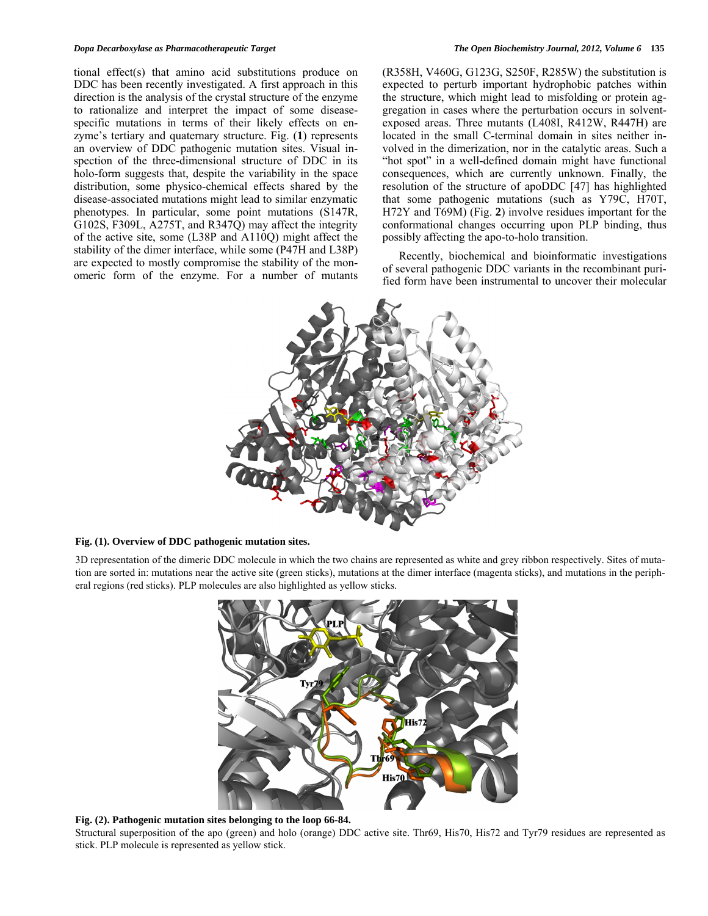tional effect(s) that amino acid substitutions produce on DDC has been recently investigated. A first approach in this direction is the analysis of the crystal structure of the enzyme to rationalize and interpret the impact of some diseasespecific mutations in terms of their likely effects on enzyme's tertiary and quaternary structure. Fig. (**1**) represents an overview of DDC pathogenic mutation sites. Visual inspection of the three-dimensional structure of DDC in its holo-form suggests that, despite the variability in the space distribution, some physico-chemical effects shared by the disease-associated mutations might lead to similar enzymatic phenotypes. In particular, some point mutations (S147R, G102S, F309L, A275T, and R347Q) may affect the integrity of the active site, some (L38P and A110Q) might affect the stability of the dimer interface, while some (P47H and L38P) are expected to mostly compromise the stability of the monomeric form of the enzyme. For a number of mutants (R358H, V460G, G123G, S250F, R285W) the substitution is expected to perturb important hydrophobic patches within the structure, which might lead to misfolding or protein aggregation in cases where the perturbation occurs in solventexposed areas. Three mutants (L408I, R412W, R447H) are located in the small C-terminal domain in sites neither involved in the dimerization, nor in the catalytic areas. Such a "hot spot" in a well-defined domain might have functional consequences, which are currently unknown. Finally, the resolution of the structure of apoDDC [[47\]](#page-6-11) has highlighted that some pathogenic mutations (such as Y79C, H70T, H72Y and T69M) (Fig. **2**) involve residues important for the conformational changes occurring upon PLP binding, thus possibly affecting the apo-to-holo transition.

 Recently, biochemical and bioinformatic investigations of several pathogenic DDC variants in the recombinant purified form have been instrumental to uncover their molecular



## **Fig. (1). Overview of DDC pathogenic mutation sites.**

3D representation of the dimeric DDC molecule in which the two chains are represented as white and grey ribbon respectively. Sites of mutation are sorted in: mutations near the active site (green sticks), mutations at the dimer interface (magenta sticks), and mutations in the peripheral regions (red sticks). PLP molecules are also highlighted as yellow sticks.



**Fig. (2). Pathogenic mutation sites belonging to the loop 66-84.** 

Structural superposition of the apo (green) and holo (orange) DDC active site. Thr69, His70, His72 and Tyr79 residues are represented as stick. PLP molecule is represented as yellow stick.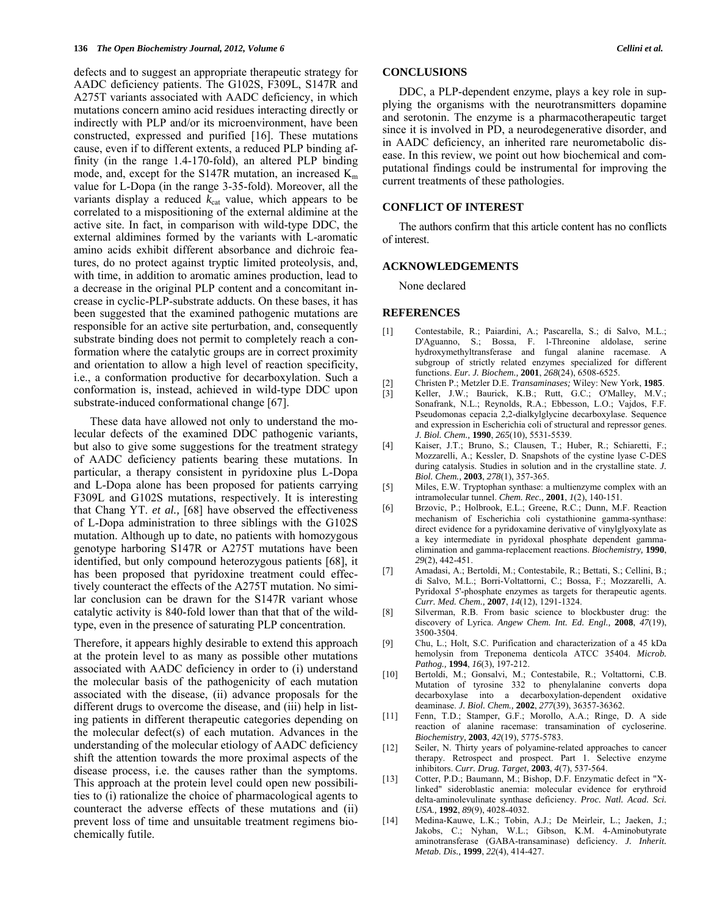defects and to suggest an appropriate therapeutic strategy for AADC deficiency patients. The G102S, F309L, S147R and A275T variants associated with AADC deficiency, in which mutations concern amino acid residues interacting directly or indirectly with PLP and/or its microenvironment, have been constructed, expressed and purified [[16\]](#page-6-5). These mutations cause, even if to different extents, a reduced PLP binding affinity (in the range 1.4-170-fold), an altered PLP binding mode, and, except for the S147R mutation, an increased  $K<sub>m</sub>$ value for L-Dopa (in the range 3-35-fold). Moreover, all the variants display a reduced  $k_{cat}$  value, which appears to be correlated to a mispositioning of the external aldimine at the active site. In fact, in comparison with wild-type DDC, the external aldimines formed by the variants with L-aromatic amino acids exhibit different absorbance and dichroic features, do no protect against tryptic limited proteolysis, and, with time, in addition to aromatic amines production, lead to a decrease in the original PLP content and a concomitant increase in cyclic-PLP-substrate adducts. On these bases, it has been suggested that the examined pathogenic mutations are responsible for an active site perturbation, and, consequently substrate binding does not permit to completely reach a conformation where the catalytic groups are in correct proximity and orientation to allow a high level of reaction specificity, i.e., a conformation productive for decarboxylation. Such a conformation is, instead, achieved in wild-type DDC upon substrate-induced conformational change [\[67\]](#page-7-14).

<span id="page-5-4"></span><span id="page-5-3"></span><span id="page-5-2"></span><span id="page-5-1"></span><span id="page-5-0"></span>These data have allowed not only to understand the molecular defects of the examined DDC pathogenic variants, but also to give some suggestions for the treatment strategy of AADC deficiency patients bearing these mutations. In particular, a therapy consistent in pyridoxine plus L-Dopa and L-Dopa alone has been proposed for patients carrying F309L and G102S mutations, respectively. It is interesting that Chang YT. *et al.,* [\[68](#page-7-15)] have observed the effectiveness of L-Dopa administration to three siblings with the G102S mutation. Although up to date, no patients with homozygous genotype harboring S147R or A275T mutations have been identified, but only compound heterozygous patients [[68\]](#page-7-15), it has been proposed that pyridoxine treatment could effectively counteract the effects of the A275T mutation. No similar conclusion can be drawn for the S147R variant whose catalytic activity is 840-fold lower than that that of the wildtype, even in the presence of saturating PLP concentration.

<span id="page-5-11"></span><span id="page-5-10"></span><span id="page-5-9"></span><span id="page-5-8"></span><span id="page-5-7"></span><span id="page-5-6"></span><span id="page-5-5"></span>Therefore, it appears highly desirable to extend this approach at the protein level to as many as possible other mutations associated with AADC deficiency in order to (i) understand the molecular basis of the pathogenicity of each mutation associated with the disease, (ii) advance proposals for the different drugs to overcome the disease, and (iii) help in listing patients in different therapeutic categories depending on the molecular defect(s) of each mutation. Advances in the understanding of the molecular etiology of AADC deficiency shift the attention towards the more proximal aspects of the disease process, i.e. the causes rather than the symptoms. This approach at the protein level could open new possibilities to (i) rationalize the choice of pharmacological agents to counteract the adverse effects of these mutations and (ii) prevent loss of time and unsuitable treatment regimens biochemically futile.

## **CONCLUSIONS**

 DDC, a PLP-dependent enzyme, plays a key role in supplying the organisms with the neurotransmitters dopamine and serotonin. The enzyme is a pharmacotherapeutic target since it is involved in PD, a neurodegenerative disorder, and in AADC deficiency, an inherited rare neurometabolic disease. In this review, we point out how biochemical and computational findings could be instrumental for improving the current treatments of these pathologies.

#### **CONFLICT OF INTEREST**

 The authors confirm that this article content has no conflicts of interest.

## **ACKNOWLEDGEMENTS**

None declared

#### **REFERENCES**

- [1] Contestabile, R.; Paiardini, A.; Pascarella, S.; di Salvo, M.L.; D'Aguanno, S.; Bossa, F. l-Threonine aldolase, serine hydroxymethyltransferase and fungal alanine racemase. A subgroup of strictly related enzymes specialized for different functions. *Eur. J. Biochem.,* **2001**, *268*(24), 6508-6525.
- [2] Christen P.; Metzler D.E. *Transaminases;* Wiley: New York, **1985**.
- Keller, J.W.; Baurick, K.B.; Rutt, G.C.; O'Malley, M.V.; Sonafrank, N.L.; Reynolds, R.A.; Ebbesson, L.O.; Vajdos, F.F. Pseudomonas cepacia 2,2-dialkylglycine decarboxylase. Sequence and expression in Escherichia coli of structural and repressor genes. *J. Biol. Chem.,* **1990**, *265*(10), 5531-5539.
- [4] Kaiser, J.T.; Bruno, S.; Clausen, T.; Huber, R.; Schiaretti, F.; Mozzarelli, A.; Kessler, D. Snapshots of the cystine lyase C-DES during catalysis. Studies in solution and in the crystalline state. *J. Biol. Chem.,* **2003**, *278*(1), 357-365.
- [5] Miles, E.W. Tryptophan synthase: a multienzyme complex with an intramolecular tunnel. *Chem. Rec.,* **2001**, *1*(2), 140-151.
- [6] Brzovic, P.; Holbrook, E.L.; Greene, R.C.; Dunn, M.F. Reaction mechanism of Escherichia coli cystathionine gamma-synthase: direct evidence for a pyridoxamine derivative of vinylglyoxylate as a key intermediate in pyridoxal phosphate dependent gammaelimination and gamma-replacement reactions. *Biochemistry,* **1990**, *29*(2), 442-451.
- [7] Amadasi, A.; Bertoldi, M.; Contestabile, R.; Bettati, S.; Cellini, B.; di Salvo, M.L.; Borri-Voltattorni, C.; Bossa, F.; Mozzarelli, A. Pyridoxal 5'-phosphate enzymes as targets for therapeutic agents. *Curr. Med. Chem.,* **2007**, *14*(12), 1291-1324.
- [8] Silverman, R.B. From basic science to blockbuster drug: the discovery of Lyrica. *Angew Chem. Int. Ed. Engl.,* **2008**, *47*(19), 3500-3504.
- [9] Chu, L.; Holt, S.C. Purification and characterization of a 45 kDa hemolysin from Treponema denticola ATCC 35404. *Microb. Pathog.,* **1994**, *16*(3), 197-212.
- [10] Bertoldi, M.; Gonsalvi, M.; Contestabile, R.; Voltattorni, C.B. Mutation of tyrosine 332 to phenylalanine converts dopa decarboxylase into a decarboxylation-dependent oxidative deaminase. *J. Biol. Chem.,* **2002**, *277*(39), 36357-36362.
- [11] Fenn, T.D.; Stamper, G.F.; Morollo, A.A.; Ringe, D. A side reaction of alanine racemase: transamination of cycloserine. *Biochemistry,* **2003**, *42*(19), 5775-5783.
- [12] Seiler, N. Thirty years of polyamine-related approaches to cancer therapy. Retrospect and prospect. Part 1. Selective enzyme inhibitors. *Curr. Drug. Target,* **2003**, *4*(7), 537-564.
- [13] Cotter, P.D.; Baumann, M.; Bishop, D.F. Enzymatic defect in "Xlinked" sideroblastic anemia: molecular evidence for erythroid delta-aminolevulinate synthase deficiency. *Proc. Natl. Acad. Sci. USA.,* **1992**, *89*(9), 4028-4032.
- [14] Medina-Kauwe, L.K.; Tobin, A.J.; De Meirleir, L.; Jaeken, J.; Jakobs, C.; Nyhan, W.L.; Gibson, K.M. 4-Aminobutyrate aminotransferase (GABA-transaminase) deficiency. *J. Inherit. Metab. Dis.,* **1999**, *22*(4), 414-427.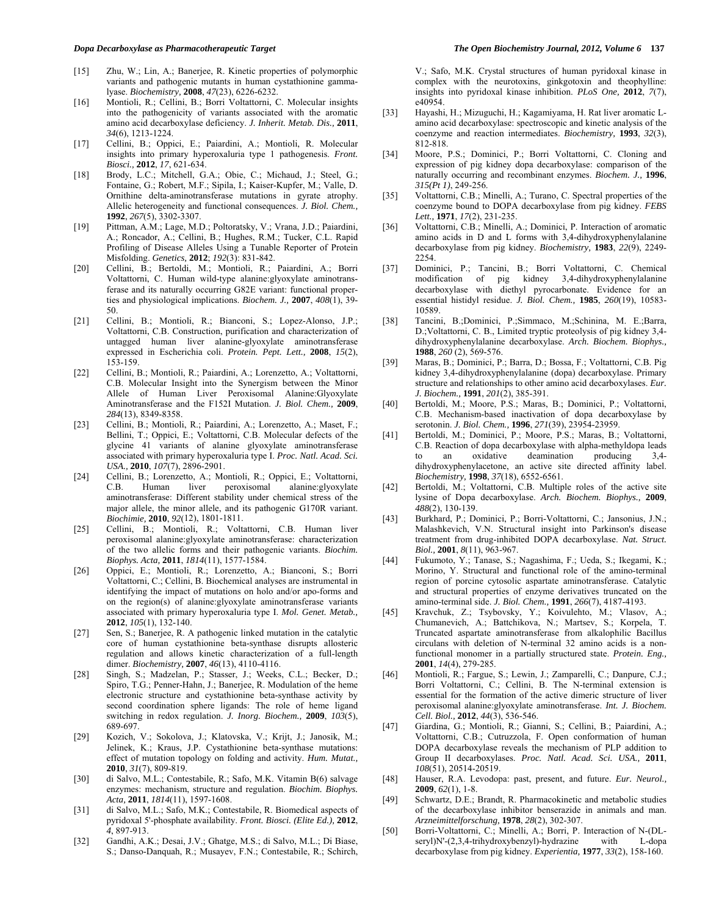- [15] Zhu, W.; Lin, A.; Banerjee, R. Kinetic properties of polymorphic variants and pathogenic mutants in human cystathionine gammalyase. *Biochemistry,* **2008**, *47*(23), 6226-6232.
- <span id="page-6-6"></span><span id="page-6-5"></span>[16] Montioli, R.; Cellini, B.; Borri Voltattorni, C. Molecular insights into the pathogenicity of variants associated with the aromatic amino acid decarboxylase deficiency. *J. Inherit. Metab. Dis.,* **2011**, *34*(6), 1213-1224.
- <span id="page-6-7"></span>[17] Cellini, B.; Oppici, E.; Paiardini, A.; Montioli, R. Molecular insights into primary hyperoxaluria type 1 pathogenesis. *Front. Biosci.,* **2012**, *17*, 621-634.
- <span id="page-6-8"></span><span id="page-6-0"></span>[18] Brody, L.C.; Mitchell, G.A.; Obie, C.; Michaud, J.; Steel, G.; Fontaine, G.; Robert, M.F.; Sipila, I.; Kaiser-Kupfer, M.; Valle, D. Ornithine delta-aminotransferase mutations in gyrate atrophy. Allelic heterogeneity and functional consequences. *J. Biol. Chem.,*  **1992**, *267*(5), 3302-3307.
- <span id="page-6-1"></span>[19] Pittman, A.M.; Lage, M.D.; Poltoratsky, V.; Vrana, J.D.; Paiardini, A.; Roncador, A.; Cellini, B.; Hughes, R.M.; Tucker, C.L. Rapid Profiling of Disease Alleles Using a Tunable Reporter of Protein Misfolding. *Genetics,* **2012**; *192*(3): 831-842.
- <span id="page-6-2"></span>[20] Cellini, B.; Bertoldi, M.; Montioli, R.; Paiardini, A.; Borri Voltattorni, C. Human wild-type alanine:glyoxylate aminotransferase and its naturally occurring G82E variant: functional properties and physiological implications. *Biochem. J.,* **2007**, *408*(1), 39- 50.
- [21] Cellini, B.; Montioli, R.; Bianconi, S.; Lopez-Alonso, J.P.; Voltattorni, C.B. Construction, purification and characterization of untagged human liver alanine-glyoxylate aminotransferase expressed in Escherichia coli. *Protein. Pept. Lett.,* **2008**, *15*(2), 153-159.
- [22] Cellini, B.; Montioli, R.; Paiardini, A.; Lorenzetto, A.; Voltattorni, C.B. Molecular Insight into the Synergism between the Minor Allele of Human Liver Peroxisomal Alanine:Glyoxylate Aminotransferase and the F152I Mutation. *J. Biol. Chem.,* **2009**, *284*(13), 8349-8358.
- [23] Cellini, B.; Montioli, R.; Paiardini, A.; Lorenzetto, A.; Maset, F.; Bellini, T.; Oppici, E.; Voltattorni, C.B. Molecular defects of the glycine 41 variants of alanine glyoxylate aminotransferase associated with primary hyperoxaluria type I. *Proc. Natl. Acad. Sci. USA.,* **2010**, *107*(7), 2896-2901.
- [24] Cellini, B.; Lorenzetto, A.; Montioli, R.; Oppici, E.; Voltattorni, C.B. Human liver peroxisomal alanine:glyoxylate aminotransferase: Different stability under chemical stress of the major allele, the minor allele, and its pathogenic G170R variant. *Biochimie,* **2010**, *92*(12), 1801-1811.
- <span id="page-6-9"></span>[25] Cellini, B.; Montioli, R.; Voltattorni, C.B. Human liver peroxisomal alanine:glyoxylate aminotransferase: characterization of the two allelic forms and their pathogenic variants. *Biochim. Biophys. Acta,* **2011**, *1814*(11), 1577-1584.
- <span id="page-6-10"></span>[26] Oppici, E.; Montioli, R.; Lorenzetto, A.; Bianconi, S.; Borri Voltattorni, C.; Cellini, B. Biochemical analyses are instrumental in identifying the impact of mutations on holo and/or apo-forms and on the region(s) of alanine:glyoxylate aminotransferase variants associated with primary hyperoxaluria type I. *Mol. Genet. Metab.,*  **2012**, *105*(1), 132-140.
- <span id="page-6-3"></span>[27] Sen, S.; Banerjee, R. A pathogenic linked mutation in the catalytic core of human cystathionine beta-synthase disrupts allosteric regulation and allows kinetic characterization of a full-length dimer. *Biochemistry,* **2007**, *46*(13), 4110-4116.
- [28] Singh, S.; Madzelan, P.; Stasser, J.; Weeks, C.L.; Becker, D.; Spiro, T.G.; Penner-Hahn, J.; Banerjee, R. Modulation of the heme electronic structure and cystathionine beta-synthase activity by second coordination sphere ligands: The role of heme ligand switching in redox regulation. *J. Inorg. Biochem.,* **2009**, *103*(5), 689-697.
- <span id="page-6-11"></span>[29] Kozich, V.; Sokolova, J.; Klatovska, V.; Krijt, J.; Janosik, M.; Jelinek, K.; Kraus, J.P. Cystathionine beta-synthase mutations: effect of mutation topology on folding and activity. *Hum. Mutat.,*  **2010**, *31*(7), 809-819.
- <span id="page-6-4"></span>[30] di Salvo, M.L.; Contestabile, R.; Safo, M.K. Vitamin B(6) salvage enzymes: mechanism, structure and regulation. *Biochim. Biophys. Acta,* **2011**, *1814*(11), 1597-1608.
- <span id="page-6-12"></span>[31] di Salvo, M.L.; Safo, M.K.; Contestabile, R. Biomedical aspects of pyridoxal 5'-phosphate availability. *Front. Biosci. (Elite Ed.),* **2012**, *4*, 897-913.
- <span id="page-6-13"></span>[32] Gandhi, A.K.; Desai, J.V.; Ghatge, M.S.; di Salvo, M.L.; Di Biase, S.; Danso-Danquah, R.; Musayev, F.N.; Contestabile, R.; Schirch,

V.; Safo, M.K. Crystal structures of human pyridoxal kinase in complex with the neurotoxins, ginkgotoxin and theophylline: insights into pyridoxal kinase inhibition. *PLoS One,* **2012**, *7*(7), e40954.

- [33] Hayashi, H.; Mizuguchi, H.; Kagamiyama, H. Rat liver aromatic Lamino acid decarboxylase: spectroscopic and kinetic analysis of the coenzyme and reaction intermediates. *Biochemistry,* **1993**, *32*(3), 812-818.
- [34] Moore, P.S.; Dominici, P.; Borri Voltattorni, C. Cloning and expression of pig kidney dopa decarboxylase: comparison of the naturally occurring and recombinant enzymes. *Biochem. J.,* **1996**, *315(Pt 1)*, 249-256.
- [35] Voltattorni, C.B.; Minelli, A.; Turano, C. Spectral properties of the coenzyme bound to DOPA decarboxylase from pig kidney. *FEBS Lett.,* **1971**, *17*(2), 231-235.
- [36] Voltattorni, C.B.; Minelli, A.; Dominici, P. Interaction of aromatic amino acids in D and L forms with 3,4-dihydroxyphenylalanine decarboxylase from pig kidney. *Biochemistry,* **1983**, *22*(9), 2249- 2254.
- [37] Dominici, P.; Tancini, B.; Borri Voltattorni, C. Chemical modification of pig kidney 3,4-dihydroxyphenylalanine decarboxylase with diethyl pyrocarbonate. Evidence for an essential histidyl residue. *J. Biol. Chem.,* **1985**, *260*(19), 10583- 10589.
- [38] Tancini, B.;Dominici, P.;Simmaco, M.;Schinina, M. E.;Barra, D.;Voltattorni, C. B., Limited tryptic proteolysis of pig kidney 3,4 dihydroxyphenylalanine decarboxylase. *Arch. Biochem. Biophys.,*  **1988**, *260* (2), 569-576.
- [39] Maras, B.; Dominici, P.; Barra, D.; Bossa, F.; Voltattorni, C.B. Pig kidney 3,4-dihydroxyphenylalanine (dopa) decarboxylase. Primary structure and relationships to other amino acid decarboxylases. *Eur. J. Biochem.,* **1991**, *201*(2), 385-391.
- [40] Bertoldi, M.; Moore, P.S.; Maras, B.; Dominici, P.; Voltattorni, C.B. Mechanism-based inactivation of dopa decarboxylase by serotonin. *J. Biol. Chem.,* **1996**, *271*(39), 23954-23959.
- [41] Bertoldi, M.; Dominici, P.; Moore, P.S.; Maras, B.; Voltattorni, C.B. Reaction of dopa decarboxylase with alpha-methyldopa leads<br>to an oxidative deamination producing 3.4to an oxidative deamination producing dihydroxyphenylacetone, an active site directed affinity label. *Biochemistry,* **1998**, *37*(18), 6552-6561.
- [42] Bertoldi, M.; Voltattorni, C.B. Multiple roles of the active site lysine of Dopa decarboxylase. *Arch. Biochem. Biophys.,* **2009**, *488*(2), 130-139.
- [43] Burkhard, P.; Dominici, P.; Borri-Voltattorni, C.; Jansonius, J.N.; Malashkevich, V.N. Structural insight into Parkinson's disease treatment from drug-inhibited DOPA decarboxylase. *Nat. Struct. Biol.,* **2001**, *8*(11), 963-967.
- [44] Fukumoto, Y.; Tanase, S.; Nagashima, F.; Ueda, S.; Ikegami, K.; Morino, Y. Structural and functional role of the amino-terminal region of porcine cytosolic aspartate aminotransferase. Catalytic and structural properties of enzyme derivatives truncated on the amino-terminal side. *J. Biol. Chem.,* **1991**, *266*(7), 4187-4193.
- [45] Kravchuk, Z.; Tsybovsky, Y.; Koivulehto, M.; Vlasov, A.; Chumanevich, A.; Battchikova, N.; Martsev, S.; Korpela, T. Truncated aspartate aminotransferase from alkalophilic Bacillus circulans with deletion of N-terminal 32 amino acids is a nonfunctional monomer in a partially structured state. *Protein. Eng.,*  **2001**, *14*(4), 279-285.
- [46] Montioli, R.; Fargue, S.; Lewin, J.; Zamparelli, C.; Danpure, C.J.; Borri Voltattorni, C.; Cellini, B. The N-terminal extension is essential for the formation of the active dimeric structure of liver peroxisomal alanine:glyoxylate aminotransferase. *Int. J. Biochem. Cell. Biol.,* **2012**, *44*(3), 536-546.
- [47] Giardina, G.; Montioli, R.; Gianni, S.; Cellini, B.; Paiardini, A.; Voltattorni, C.B.; Cutruzzola, F. Open conformation of human DOPA decarboxylase reveals the mechanism of PLP addition to Group II decarboxylases. *Proc. Natl. Acad. Sci. USA.,* **2011**, *108*(51), 20514-20519.
- [48] Hauser, R.A. Levodopa: past, present, and future. *Eur. Neurol.,*  **2009**, *62*(1), 1-8.
- [49] Schwartz, D.E.; Brandt, R. Pharmacokinetic and metabolic studies of the decarboxylase inhibitor benserazide in animals and man. *Arzneimittelforschung,* **1978**, *28*(2), 302-307.
- [50] Borri-Voltattorni, C.; Minelli, A.; Borri, P. Interaction of N-(DLseryl)N'-(2,3,4-trihydroxybenzyl)-hydrazine with L-dopa decarboxylase from pig kidney. *Experientia,* **1977**, *33*(2), 158-160.